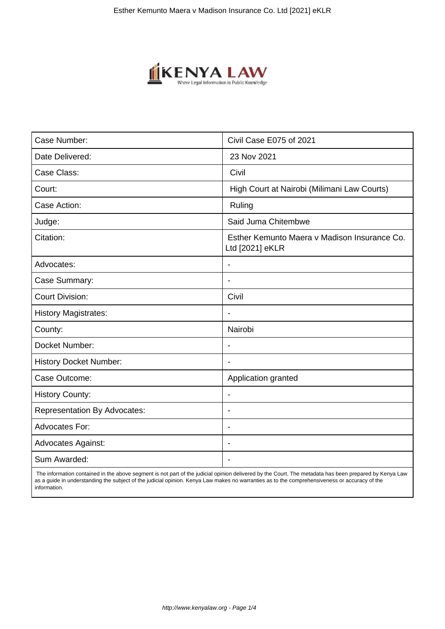

| Case Number:                        | Civil Case E075 of 2021                                         |
|-------------------------------------|-----------------------------------------------------------------|
| Date Delivered:                     | 23 Nov 2021                                                     |
| Case Class:                         | Civil                                                           |
| Court:                              | High Court at Nairobi (Milimani Law Courts)                     |
| Case Action:                        | Ruling                                                          |
| Judge:                              | Said Juma Chitembwe                                             |
| Citation:                           | Esther Kemunto Maera v Madison Insurance Co.<br>Ltd [2021] eKLR |
| Advocates:                          |                                                                 |
| Case Summary:                       | $\blacksquare$                                                  |
| <b>Court Division:</b>              | Civil                                                           |
| <b>History Magistrates:</b>         | $\blacksquare$                                                  |
| County:                             | Nairobi                                                         |
| Docket Number:                      |                                                                 |
| <b>History Docket Number:</b>       |                                                                 |
| Case Outcome:                       | Application granted                                             |
| <b>History County:</b>              | $\overline{\phantom{a}}$                                        |
| <b>Representation By Advocates:</b> | $\overline{\phantom{a}}$                                        |
| <b>Advocates For:</b>               | $\overline{\phantom{a}}$                                        |
| <b>Advocates Against:</b>           | $\blacksquare$                                                  |
| Sum Awarded:                        |                                                                 |

 The information contained in the above segment is not part of the judicial opinion delivered by the Court. The metadata has been prepared by Kenya Law as a guide in understanding the subject of the judicial opinion. Kenya Law makes no warranties as to the comprehensiveness or accuracy of the information.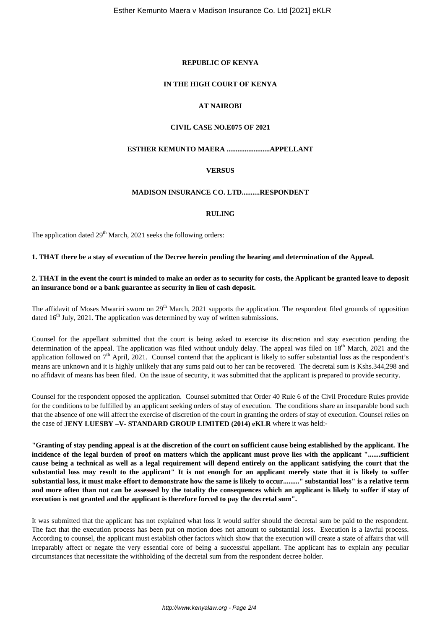#### **REPUBLIC OF KENYA**

# **IN THE HIGH COURT OF KENYA**

# **AT NAIROBI**

# **CIVIL CASE NO.E075 OF 2021**

# **ESTHER KEMUNTO MAERA ........................APPELLANT**

# **VERSUS**

# **MADISON INSURANCE CO. LTD..........RESPONDENT**

#### **RULING**

The application dated  $29<sup>th</sup>$  March, 2021 seeks the following orders:

**1. THAT there be a stay of execution of the Decree herein pending the hearing and determination of the Appeal.** 

#### **2. THAT in the event the court is minded to make an order as to security for costs, the Applicant be granted leave to deposit an insurance bond or a bank guarantee as security in lieu of cash deposit.**

The affidavit of Moses Mwariri sworn on 29<sup>th</sup> March, 2021 supports the application. The respondent filed grounds of opposition dated  $16<sup>th</sup>$  July, 2021. The application was determined by way of written submissions.

Counsel for the appellant submitted that the court is being asked to exercise its discretion and stay execution pending the determination of the appeal. The application was filed without unduly delay. The appeal was filed on  $18<sup>th</sup>$  March, 2021 and the application followed on  $7<sup>th</sup>$  April, 2021. Counsel contend that the applicant is likely to suffer substantial loss as the respondent's means are unknown and it is highly unlikely that any sums paid out to her can be recovered. The decretal sum is Kshs.344,298 and no affidavit of means has been filed. On the issue of security, it was submitted that the applicant is prepared to provide security.

Counsel for the respondent opposed the application. Counsel submitted that Order 40 Rule 6 of the Civil Procedure Rules provide for the conditions to be fulfilled by an applicant seeking orders of stay of execution. The conditions share an inseparable bond such that the absence of one will affect the exercise of discretion of the court in granting the orders of stay of execution. Counsel relies on the case of **JENY LUESBY –V- STANDARD GROUP LIMITED (2014) eKLR** where it was held:-

**"Granting of stay pending appeal is at the discretion of the court on sufficient cause being established by the applicant. The incidence of the legal burden of proof on matters which the applicant must prove lies with the applicant ".......sufficient cause being a technical as well as a legal requirement will depend entirely on the applicant satisfying the court that the substantial loss may result to the applicant" It is not enough for an applicant merely state that it is likely to suffer substantial loss, it must make effort to demonstrate how the same is likely to occur........." substantial loss" is a relative term and more often than not can be assessed by the totality the consequences which an applicant is likely to suffer if stay of execution is not granted and the applicant is therefore forced to pay the decretal sum".**

It was submitted that the applicant has not explained what loss it would suffer should the decretal sum be paid to the respondent. The fact that the execution process has been put on motion does not amount to substantial loss. Execution is a lawful process. According to counsel, the applicant must establish other factors which show that the execution will create a state of affairs that will irreparably affect or negate the very essential core of being a successful appellant. The applicant has to explain any peculiar circumstances that necessitate the withholding of the decretal sum from the respondent decree holder.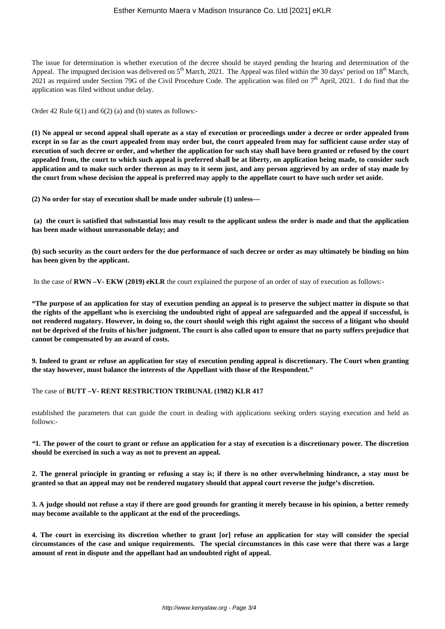The issue for determination is whether execution of the decree should be stayed pending the hearing and determination of the Appeal. The impugned decision was delivered on  $5<sup>th</sup>$  March, 2021. The Appeal was filed within the 30 days' period on  $18<sup>th</sup>$  March, 2021 as required under Section 79G of the Civil Procedure Code. The application was filed on  $7<sup>th</sup>$  April, 2021. I do find that the application was filed without undue delay.

Order 42 Rule 6(1) and 6(2) (a) and (b) states as follows:-

**(1) No appeal or second appeal shall operate as a stay of execution or proceedings under a decree or order appealed from except in so far as the court appealed from may order but, the court appealed from may for sufficient cause order stay of execution of such decree or order, and whether the application for such stay shall have been granted or refused by the court appealed from, the court to which such appeal is preferred shall be at liberty, on application being made, to consider such application and to make such order thereon as may to it seem just, and any person aggrieved by an order of stay made by the court from whose decision the appeal is preferred may apply to the appellate court to have such order set aside.**

**(2) No order for stay of execution shall be made under subrule (1) unless—**

**(a) the court is satisfied that substantial loss may result to the applicant unless the order is made and that the application has been made without unreasonable delay; and**

**(b) such security as the court orders for the due performance of such decree or order as may ultimately be binding on him has been given by the applicant.**

In the case of **RWN –V- EKW (2019) eKLR** the court explained the purpose of an order of stay of execution as follows:-

**"The purpose of an application for stay of execution pending an appeal is to preserve the subject matter in dispute so that the rights of the appellant who is exercising the undoubted right of appeal are safeguarded and the appeal if successful, is not rendered nugatory. However, in doing so, the court should weigh this right against the success of a litigant who should not be deprived of the fruits of his/her judgment. The court is also called upon to ensure that no party suffers prejudice that cannot be compensated by an award of costs.**

**9. Indeed to grant or refuse an application for stay of execution pending appeal is discretionary. The Court when granting the stay however, must balance the interests of the Appellant with those of the Respondent."**

The case of **BUTT –V- RENT RESTRICTION TRIBUNAL (1982) KLR 417** 

established the parameters that can guide the court in dealing with applications seeking orders staying execution and held as follows:-

*"***1. The power of the court to grant or refuse an application for a stay of execution is a discretionary power. The discretion should be exercised in such a way as not to prevent an appeal.**

**2. The general principle in granting or refusing a stay is; if there is no other overwhelming hindrance, a stay must be granted so that an appeal may not be rendered nugatory should that appeal court reverse the judge's discretion.**

**3. A judge should not refuse a stay if there are good grounds for granting it merely because in his opinion, a better remedy may become available to the applicant at the end of the proceedings.**

**4. The court in exercising its discretion whether to grant [or] refuse an application for stay will consider the special circumstances of the case and unique requirements. The special circumstances in this case were that there was a large amount of rent in dispute and the appellant had an undoubted right of appeal.**